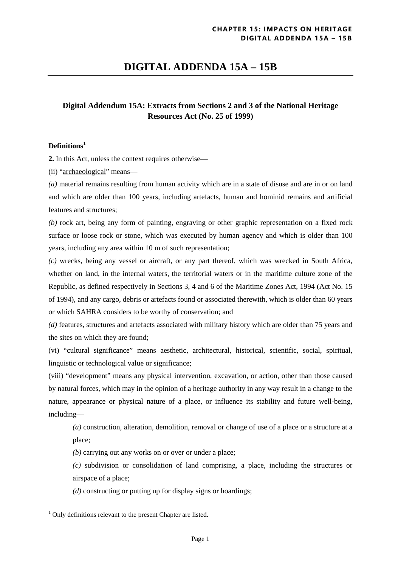# **DIGITAL ADDENDA 15A – 15B**

## **Digital Addendum 15A: Extracts from Sections 2 and 3 of the National Heritage Resources Act (No. 25 of 1999)**

### **Definitions[1](#page-0-0)**

**2.** In this Act, unless the context requires otherwise—

(ii) "archaeological" means—

*(a)* material remains resulting from human activity which are in a state of disuse and are in or on land and which are older than 100 years, including artefacts, human and hominid remains and artificial features and structures;

*(b)* rock art, being any form of painting, engraving or other graphic representation on a fixed rock surface or loose rock or stone, which was executed by human agency and which is older than 100 years, including any area within 10 m of such representation;

*(c)* wrecks, being any vessel or aircraft, or any part thereof, which was wrecked in South Africa, whether on land, in the internal waters, the territorial waters or in the maritime culture zone of the Republic, as defined respectively in Sections 3, 4 and 6 of the Maritime Zones Act, 1994 (Act No. 15 of 1994), and any cargo, debris or artefacts found or associated therewith, which is older than 60 years or which SAHRA considers to be worthy of conservation; and

*(d)* features, structures and artefacts associated with military history which are older than 75 years and the sites on which they are found;

(vi) "cultural significance" means aesthetic, architectural, historical, scientific, social, spiritual, linguistic or technological value or significance;

(viii) "development" means any physical intervention, excavation, or action, other than those caused by natural forces, which may in the opinion of a heritage authority in any way result in a change to the nature, appearance or physical nature of a place, or influence its stability and future well-being, including—

*(a)* construction, alteration, demolition, removal or change of use of a place or a structure at a place;

*(b)* carrying out any works on or over or under a place;

*(c)* subdivision or consolidation of land comprising, a place, including the structures or airspace of a place;

*(d)* constructing or putting up for display signs or hoardings;

**.** 

<span id="page-0-0"></span><sup>&</sup>lt;sup>1</sup> Only definitions relevant to the present Chapter are listed.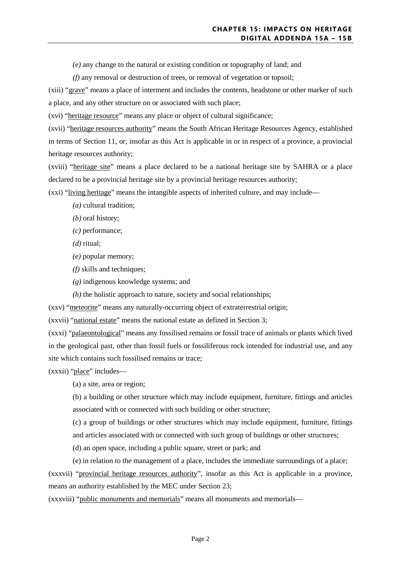*(e)* any change to the natural or existing condition or topography of land; and

*(f)* any removal or destruction of trees, or removal of vegetation or topsoil;

(xiii) "grave" means a place of interment and includes the contents, headstone or other marker of such a place, and any other structure on or associated with such place;

(xvi) "heritage resource" means any place or object of cultural significance;

(xvii) "heritage resources authority" means the South African Heritage Resources Agency, established in terms of Section 11, or, insofar as this Act is applicable in or in respect of a province, a provincial heritage resources authority;

(xviii) "heritage site" means a place declared to be a national heritage site by SAHRA or a place declared to be a provincial heritage site by a provincial heritage resources authority;

(xxi) "living heritage" means the intangible aspects of inherited culture, and may include—

- *(a)* cultural tradition;
- *(b)* oral history;
- *(c)* performance;
- *(d)* ritual;
- *(e)* popular memory;
- *(f)* skills and techniques;
- *(g)* indigenous knowledge systems; and
- *(h)* the holistic approach to nature, society and social relationships;

(xxv) "meteorite" means any naturally-occurring object of extraterrestrial origin;

(xxvii) "national estate" means the national estate as defined in Section 3;

(xxxi) "palaeontological" means any fossilised remains or fossil trace of animals or plants which lived in the geological past, other than fossil fuels or fossiliferous rock intended for industrial use, and any site which contains such fossilised remains or trace;

(xxxii) "place" includes—

(a) a site, area or region;

(b) a building or other structure which may include equipment, furniture, fittings and articles associated with or connected with such building or other structure;

(c) a group of buildings or other structures which may include equipment, furniture, fittings and articles associated with or connected with such group of buildings or other structures;

(d) an open space, including a public square, street or park; and

(e) in relation to the management of a place, includes the immediate surroundings of a place;

(xxxvii) "provincial heritage resources authority", insofar as this Act is applicable in a province, means an authority established by the MEC under Section 23;

(xxxviii) "public monuments and memorials" means all monuments and memorials—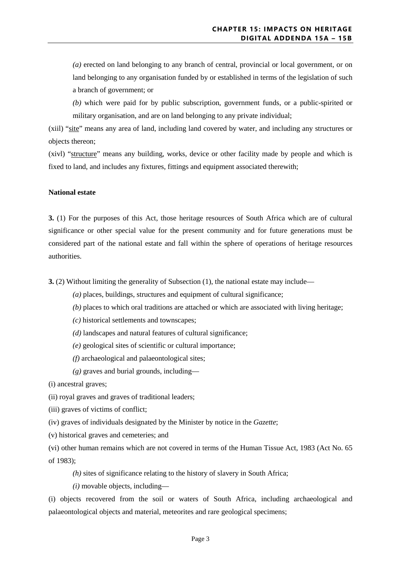*(a)* erected on land belonging to any branch of central, provincial or local government, or on land belonging to any organisation funded by or established in terms of the legislation of such a branch of government; or

*(b)* which were paid for by public subscription, government funds, or a public-spirited or military organisation, and are on land belonging to any private individual;

(xiil) "site" means any area of land, including land covered by water, and including any structures or objects thereon;

(xivl) "structure" means any building, works, device or other facility made by people and which is fixed to land, and includes any fixtures, fittings and equipment associated therewith;

#### **National estate**

**3.** (1) For the purposes of this Act, those heritage resources of South Africa which are of cultural significance or other special value for the present community and for future generations must be considered part of the national estate and fall within the sphere of operations of heritage resources authorities.

**3.** (2) Without limiting the generality of Subsection (1), the national estate may include—

- *(a)* places, buildings, structures and equipment of cultural significance;
- *(b)* places to which oral traditions are attached or which are associated with living heritage;
- *(c)* historical settlements and townscapes;
- *(d)* landscapes and natural features of cultural significance;
- *(e)* geological sites of scientific or cultural importance;
- *(f)* archaeological and palaeontological sites;
- *(g)* graves and burial grounds, including—

(i) ancestral graves;

- (ii) royal graves and graves of traditional leaders;
- (iii) graves of victims of conflict;
- (iv) graves of individuals designated by the Minister by notice in the *Gazette*;
- (v) historical graves and cemeteries; and

(vi) other human remains which are not covered in terms of the Human Tissue Act, 1983 (Act No. 65 of 1983);

*(h)* sites of significance relating to the history of slavery in South Africa;

*(i)* movable objects, including—

(i) objects recovered from the soil or waters of South Africa, including archaeological and palaeontological objects and material, meteorites and rare geological specimens;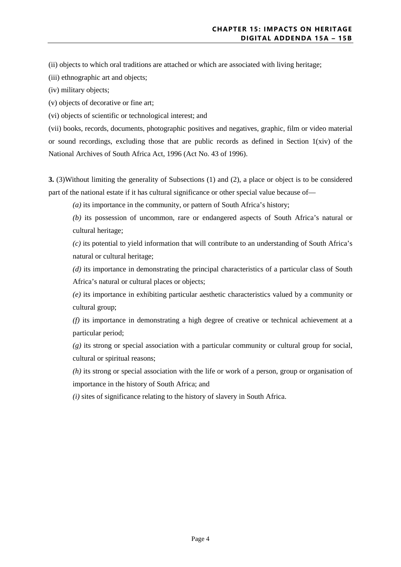(ii) objects to which oral traditions are attached or which are associated with living heritage;

(iii) ethnographic art and objects;

(iv) military objects;

(v) objects of decorative or fine art;

(vi) objects of scientific or technological interest; and

(vii) books, records, documents, photographic positives and negatives, graphic, film or video material or sound recordings, excluding those that are public records as defined in Section  $1(xiv)$  of the National Archives of South Africa Act, 1996 (Act No. 43 of 1996).

**3.** (3)Without limiting the generality of Subsections (1) and (2), a place or object is to be considered part of the national estate if it has cultural significance or other special value because of—

*(a)* its importance in the community, or pattern of South Africa's history;

*(b)* its possession of uncommon, rare or endangered aspects of South Africa's natural or cultural heritage;

*(c)* its potential to yield information that will contribute to an understanding of South Africa's natural or cultural heritage;

*(d)* its importance in demonstrating the principal characteristics of a particular class of South Africa's natural or cultural places or objects;

*(e)* its importance in exhibiting particular aesthetic characteristics valued by a community or cultural group;

*(f)* its importance in demonstrating a high degree of creative or technical achievement at a particular period;

*(g)* its strong or special association with a particular community or cultural group for social, cultural or spiritual reasons;

*(h)* its strong or special association with the life or work of a person, group or organisation of importance in the history of South Africa; and

*(i)* sites of significance relating to the history of slavery in South Africa.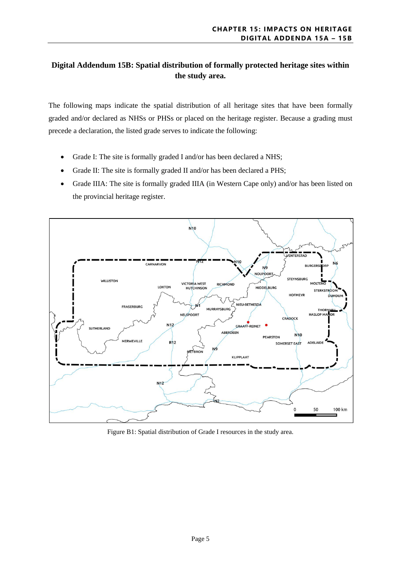## **Digital Addendum 15B: Spatial distribution of formally protected heritage sites within the study area.**

The following maps indicate the spatial distribution of all heritage sites that have been formally graded and/or declared as NHSs or PHSs or placed on the heritage register. Because a grading must precede a declaration, the listed grade serves to indicate the following:

- Grade I: The site is formally graded I and/or has been declared a NHS;
- Grade II: The site is formally graded II and/or has been declared a PHS;
- Grade IIIA: The site is formally graded IIIA (in Western Cape only) and/or has been listed on the provincial heritage register.



Figure B1: Spatial distribution of Grade I resources in the study area.